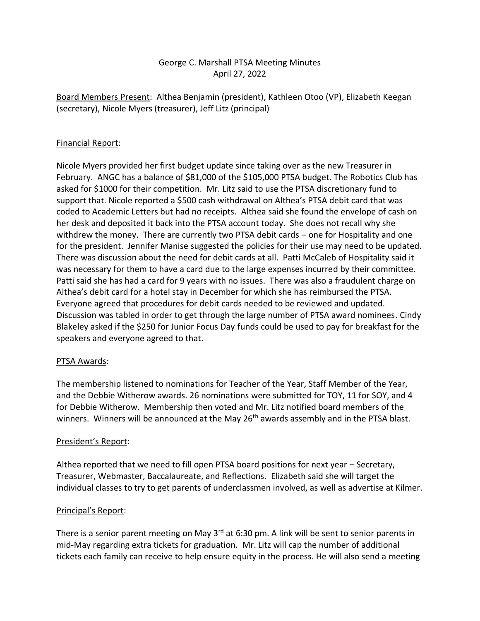# George C. Marshall PTSA Meeting Minutes April 27, 2022

Board Members Present: Althea Benjamin (president), Kathleen Otoo (VP), Elizabeth Keegan (secretary), Nicole Myers (treasurer), Jeff Litz (principal)

## Financial Report:

Nicole Myers provided her first budget update since taking over as the new Treasurer in February. ANGC has a balance of \$81,000 of the \$105,000 PTSA budget. The Robotics Club has asked for \$1000 for their competition. Mr. Litz said to use the PTSA discretionary fund to support that. Nicole reported a \$500 cash withdrawal on Althea's PTSA debit card that was coded to Academic Letters but had no receipts. Althea said she found the envelope of cash on her desk and deposited it back into the PTSA account today. She does not recall why she withdrew the money. There are currently two PTSA debit cards – one for Hospitality and one for the president. Jennifer Manise suggested the policies for their use may need to be updated. There was discussion about the need for debit cards at all. Patti McCaleb of Hospitality said it was necessary for them to have a card due to the large expenses incurred by their committee. Patti said she has had a card for 9 years with no issues. There was also a fraudulent charge on Althea's debit card for a hotel stay in December for which she has reimbursed the PTSA. Everyone agreed that procedures for debit cards needed to be reviewed and updated. Discussion was tabled in order to get through the large number of PTSA award nominees. Cindy Blakeley asked if the \$250 for Junior Focus Day funds could be used to pay for breakfast for the speakers and everyone agreed to that.

### PTSA Awards:

The membership listened to nominations for Teacher of the Year, Staff Member of the Year, and the Debbie Witherow awards. 26 nominations were submitted for TOY, 11 for SOY, and 4 for Debbie Witherow. Membership then voted and Mr. Litz notified board members of the winners. Winners will be announced at the May 26<sup>th</sup> awards assembly and in the PTSA blast.

### President's Report:

Althea reported that we need to fill open PTSA board positions for next year – Secretary, Treasurer, Webmaster, Baccalaureate, and Reflections. Elizabeth said she will target the individual classes to try to get parents of underclassmen involved, as well as advertise at Kilmer.

### Principal's Report:

There is a senior parent meeting on May  $3<sup>rd</sup>$  at 6:30 pm. A link will be sent to senior parents in mid-May regarding extra tickets for graduation. Mr. Litz will cap the number of additional tickets each family can receive to help ensure equity in the process. He will also send a meeting